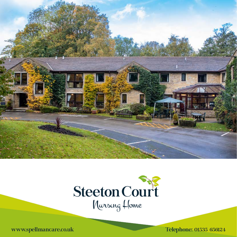



www.spellmancare.co.uk Telephone: 01535 656124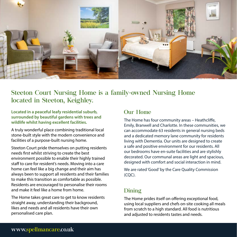

# Steeton Court Nursing Home is a family-owned Nursing Home located in Steeton, Keighley.

**Located in a peaceful leafy residential suburb, surrounded by beautiful gardens with trees and wildlife whilst having excellent facilities.** 

A truly wonderful place combining traditional local stone-built style with the modern convenience and facilities of a purpose-built nursing home.

Steeton Court pride themselves on putting residents needs first whilst striving to create the best environment possible to enable their highly trained staff to care for resident's needs. Moving into a care home can feel like a big change and their aim has always been to support all residents and their families to make this transition as comfortable as possible. Residents are encouraged to personalise their rooms and make it feel like a home from home.

The Home takes great care to get to know residents straight away, understanding their background, likes and needs and all residents have their own personalised care plan.

## Our Home

The Home has four community areas – Heathcliffe, Emily, Branwell and Charlotte. In these communities, we can accommodate 63 residents in general nursing beds and a dedicated memory lane community for residents living with Dementia. Our units are designed to create a safe and positive environment for our residents. All our bedrooms have en-suite facilities and are stylishly decorated. Our communal areas are light and spacious, designed with comfort and social interaction in mind.

We are rated 'Good' by the Care Quality Commission (CQC).

### Dining

The Home prides itself on offering exceptional food, using local suppliers and chefs on-site cooking all meals from scratch to a high standard. All food is nutritious and adjusted to residents tastes and needs.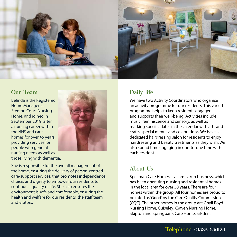

#### Our Team

Belinda is the Registered Home Manager at Steeton Court Nursing Home, and joined in September 2019, after a nursing career within the NHS and care homes for over 45 years, providing services for people with general nursing needs as well as those living with dementia.



She is responsible for the overall management of the home, ensuring the delivery of person-centred care/support services, that promotes independence, choice, and dignity to empower our residents to continue a quality of life. She also ensures the environment is safe and comfortable, ensuring the health and welfare for our residents, the staff team, and visitors.

# Daily life

We have two Activity Coordinators who organise an activity programme for our residents. This varied programme helps to keep residents engaged and supports their well-being. Activities include music, reminiscence and sensory, as well as marking specific dates in the calendar with arts and crafts, special menus and celebrations. We have a dedicated hairdressing salon for residents to enjoy hairdressing and beauty treatments as they wish. We also spend time engaging in one-to-one time with each resident.

## About Us

Spellman Care Homes is a family-run business, which has been operating nursing and residential homes in the local area for over 30 years. There are four homes within the group. All four homes are proud to be rated as 'Good' by the Care Quality Commission (CQC). The other homes in the group are Ghyll Royd Nursing Home, Guiseley; Craven Nursing Home, Skipton and Springbank Care Home, Silsden.